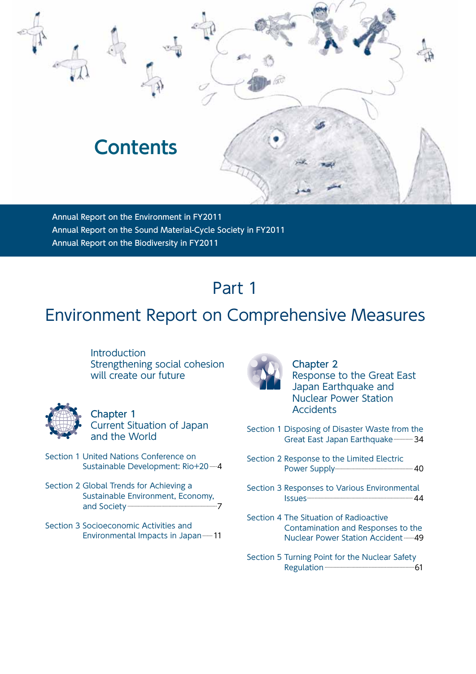

Annual Report on the Environment in FY2011 Annual Report on the Sound Material-Cycle Society in FY2011 Annual Report on the Biodiversity in FY2011

# Part 1

### Environment Report on Comprehensive Measures

**Introduction** Strengthening social cohesion will create our future



Chapter 1 Current Situation of Japan and the World

- Section 1 United Nations Conference on Sustainable Development: Rio+20-4
- Section 2 Global Trends for Achieving a Sustainable Environment, Economy, and Society--------------------------------------------------------------7
- Section 3 Socioeconomic Activities and Environmental Impacts in Japan----11



Chapter 2 Response to the Great East Japan Earthquake and Nuclear Power Station **Accidents** 

- Section 1 Disposing of Disaster Waste from the Great East Japan Earthquake---------- 34
- Section 2 Response to the Limited Electric Power Supply------------------------------------------------------40
- Section 3 Responses to Various Environmental Issues-------------------------------------------------------------------------44
- Section 4 The Situation of Radioactive Contamination and Responses to the Nuclear Power Station Accident-----49
- Section 5 Turning Point for the Nuclear Safety Regulation--------------------------------------------------------------61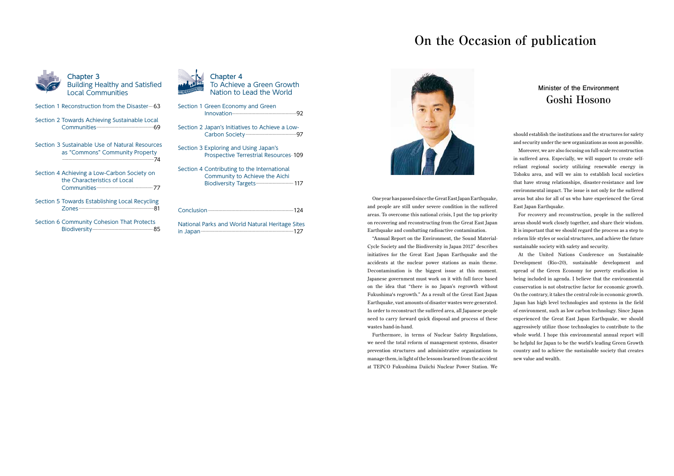Chapter 3 Building Healthy and Satisfied Local Communities

- Section 1 Reconstruction from the Disaster-63
- Section 2 Towards Achieving Sustainable Local Communities--------------------------------------------------------69
- Section 3 Sustainable Use of Natural Resources as "Commons" Community Property -----------------------------------------------------------------------------------------74
- Section 4 Achieving a Low-Carbon Society on the Characteristics of Local Communities-------------------------------------------------------77
- Section 5 Towards Establishing Local Recycling Zones-------------------------------------------------------------------------81
- Section 6 Community Cohesion That Protects Biodiversity-----------------------------------------------------------85



| Section 1 Green Economy and Green                                              |  |
|--------------------------------------------------------------------------------|--|
| Section 2 Japan's Initiatives to Achieve a Low-                                |  |
| Section 3 Exploring and Using Japan's<br>Prospective Terrestrial Resources 109 |  |
| Section 4 Contributing to the International<br>Community to Achieve the Aichi  |  |
|                                                                                |  |

National Parks and World Natural Heritage Sites in Japan------------------------------------------------------------------------------------------127



# **On the Occasion of publication**



One year has passed since the Great East Japan Earthquake, and people are still under severe condition in the suffered areas. To overcome this national crisis, I put the top priority on recovering and reconstructing from the Great East Japan Earthquake and combatting radioactive contamination.

"Annual Report on the Environment, the Sound Material-Cycle Society and the Biodiversity in Japan 2012" describes initiatives for the Great East Japan Earthquake and the accidents at the nuclear power stations as main theme. Decontamination is the biggest issue at this moment. Japanese government must work on it with full force based on the idea that "there is no Japan's regrowth without Fukushima's regrowth." As a result of the Great East Japan Earthquake, vast amounts of disaster wastes were generated. In order to reconstruct the suffered area, all Japanese people need to carry forward quick disposal and process of these wastes hand-in-hand.

Furthermore, in terms of Nuclear Safety Regulations, we need the total reform of management systems, disaster prevention structures and administrative organizations to manage them, in light of the lessons learned from the accident at TEPCO Fukushima Daiichi Nuclear Power Station. We should establish the institutions and the structures for safety and security under the new organizations as soon as possible.

Moreover, we are also focusing on full-scale reconstruction in suffered area. Especially, we will support to create selfreliant regional society utilizing renewable energy in Tohoku area, and will we aim to establish local societies that have strong relationships, disaster-resistance and low environmental impact. The issue is not only for the suffered areas but also for all of us who have experienced the Great East Japan Earthquake.

For recovery and reconstruction, people in the suffered areas should work closely together, and share their wisdom. It is important that we should regard the process as a step to reform life styles or social structures, and achieve the future sustainable society with safety and security.

At the United Nations Conference on Sustainable Development (Rio+20), sustainable development and spread of the Green Economy for poverty eradication is being included in agenda. I believe that the environmental conservation is not obstructive factor for economic growth. On the contrary, it takes the central role in economic growth. Japan has high level technologies and systems in the field of environment, such as low carbon technology. Since Japan experienced the Great East Japan Earthquake, we should aggressively utilize those technologies to contribute to the whole world. I hope this environmental annual report will be helpful for Japan to be the world's leading Green Growth country and to achieve the sustainable society that creates new value and wealth.

#### **Minister of the Environment Goshi Hosono**